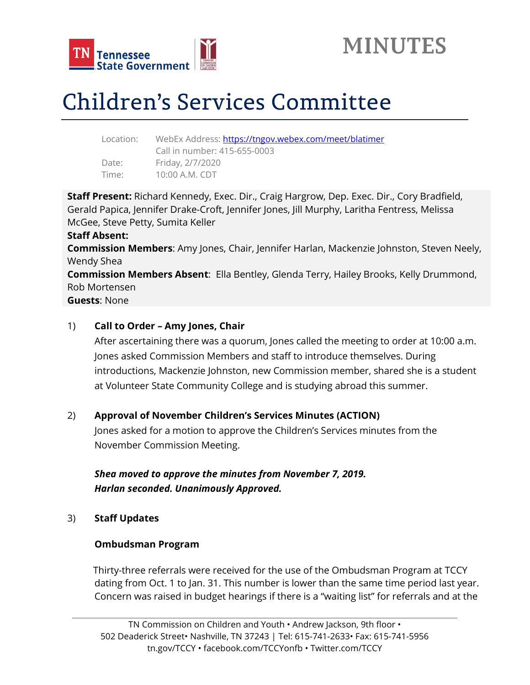



# Children's Services Committee

| Location: | WebEx Address: https://tngov.webex.com/meet/blatimer |
|-----------|------------------------------------------------------|
|           | Call in number: 415-655-0003                         |
| Date:     | Friday, 2/7/2020                                     |
| Time:     | 10:00 A.M. CDT                                       |
|           |                                                      |

**Staff Present:** Richard Kennedy, Exec. Dir., Craig Hargrow, Dep. Exec. Dir., Cory Bradfield, Gerald Papica, Jennifer Drake-Croft, Jennifer Jones, Jill Murphy, Laritha Fentress, Melissa McGee, Steve Petty, Sumita Keller **Staff Absent: Commission Members**: Amy Jones, Chair, Jennifer Harlan, Mackenzie Johnston, Steven Neely, Wendy Shea **Commission Members Absent**: Ella Bentley, Glenda Terry, Hailey Brooks, Kelly Drummond, Rob Mortensen **Guests**: None

### 1) **Call to Order – Amy Jones, Chair**

After ascertaining there was a quorum, Jones called the meeting to order at 10:00 a.m. Jones asked Commission Members and staff to introduce themselves. During introductions, Mackenzie Johnston, new Commission member, shared she is a student at Volunteer State Community College and is studying abroad this summer.

### 2) **Approval of November Children's Services Minutes (ACTION)**

Jones asked for a motion to approve the Children's Services minutes from the November Commission Meeting.

*Shea moved to approve the minutes from November 7, 2019. Harlan seconded. Unanimously Approved.*

3) **Staff Updates**

### **Ombudsman Program**

Thirty-three referrals were received for the use of the Ombudsman Program at TCCY dating from Oct. 1 to Jan. 31. This number is lower than the same time period last year. Concern was raised in budget hearings if there is a "waiting list" for referrals and at the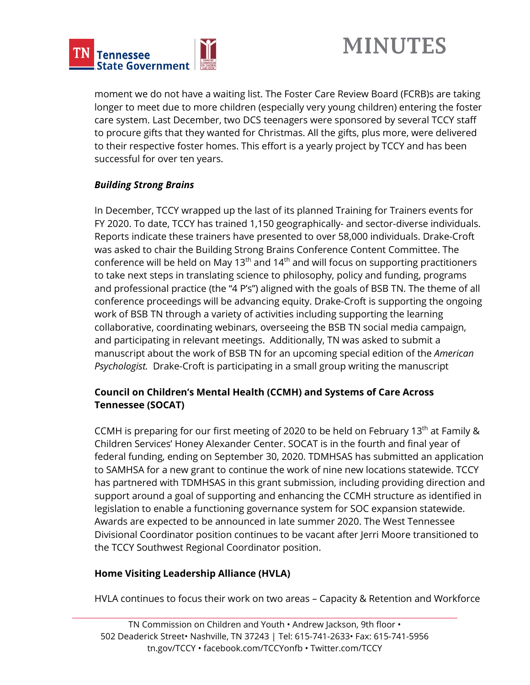

## **MINUTES**

moment we do not have a waiting list. The Foster Care Review Board (FCRB)s are taking longer to meet due to more children (especially very young children) entering the foster care system. Last December, two DCS teenagers were sponsored by several TCCY staff to procure gifts that they wanted for Christmas. All the gifts, plus more, were delivered to their respective foster homes. This effort is a yearly project by TCCY and has been successful for over ten years.

### *Building Strong Brains*

In December, TCCY wrapped up the last of its planned Training for Trainers events for FY 2020. To date, TCCY has trained 1,150 geographically- and sector-diverse individuals. Reports indicate these trainers have presented to over 58,000 individuals. Drake-Croft was asked to chair the Building Strong Brains Conference Content Committee. The conference will be held on May 13<sup>th</sup> and 14<sup>th</sup> and will focus on supporting practitioners to take next steps in translating science to philosophy, policy and funding, programs and professional practice (the "4 P's") aligned with the goals of BSB TN. The theme of all conference proceedings will be advancing equity. Drake-Croft is supporting the ongoing work of BSB TN through a variety of activities including supporting the learning collaborative, coordinating webinars, overseeing the BSB TN social media campaign, and participating in relevant meetings. Additionally, TN was asked to submit a manuscript about the work of BSB TN for an upcoming special edition of the *American Psychologist.* Drake-Croft is participating in a small group writing the manuscript

### **Council on Children's Mental Health (CCMH) and Systems of Care Across Tennessee (SOCAT)**

CCMH is preparing for our first meeting of 2020 to be held on February 13<sup>th</sup> at Family & Children Services' Honey Alexander Center. SOCAT is in the fourth and final year of federal funding, ending on September 30, 2020. TDMHSAS has submitted an application to SAMHSA for a new grant to continue the work of nine new locations statewide. TCCY has partnered with TDMHSAS in this grant submission, including providing direction and support around a goal of supporting and enhancing the CCMH structure as identified in legislation to enable a functioning governance system for SOC expansion statewide. Awards are expected to be announced in late summer 2020. The West Tennessee Divisional Coordinator position continues to be vacant after Jerri Moore transitioned to the TCCY Southwest Regional Coordinator position.

### **Home Visiting Leadership Alliance (HVLA)**

HVLA continues to focus their work on two areas – Capacity & Retention and Workforce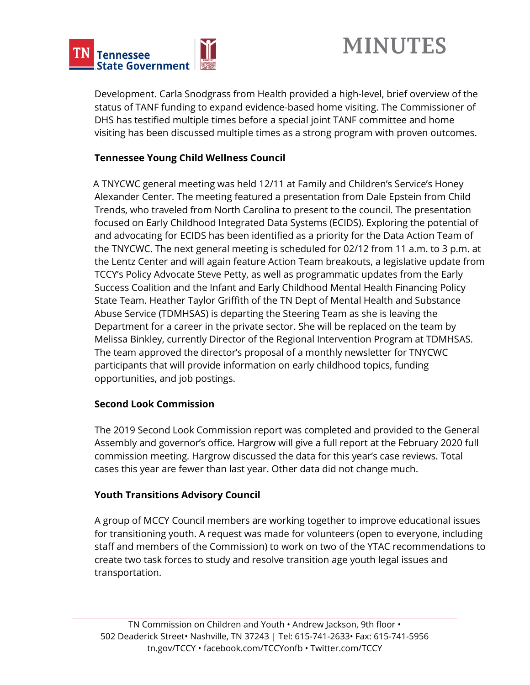

## **MINUTES**

Development. Carla Snodgrass from Health provided a high-level, brief overview of the status of TANF funding to expand evidence-based home visiting. The Commissioner of DHS has testified multiple times before a special joint TANF committee and home visiting has been discussed multiple times as a strong program with proven outcomes.

### **Tennessee Young Child Wellness Council**

A TNYCWC general meeting was held 12/11 at Family and Children's Service's Honey Alexander Center. The meeting featured a presentation from Dale Epstein from Child Trends, who traveled from North Carolina to present to the council. The presentation focused on Early Childhood Integrated Data Systems (ECIDS). Exploring the potential of and advocating for ECIDS has been identified as a priority for the Data Action Team of the TNYCWC. The next general meeting is scheduled for 02/12 from 11 a.m. to 3 p.m. at the Lentz Center and will again feature Action Team breakouts, a legislative update from TCCY's Policy Advocate Steve Petty, as well as programmatic updates from the Early Success Coalition and the Infant and Early Childhood Mental Health Financing Policy State Team. Heather Taylor Griffith of the TN Dept of Mental Health and Substance Abuse Service (TDMHSAS) is departing the Steering Team as she is leaving the Department for a career in the private sector. She will be replaced on the team by Melissa Binkley, currently Director of the Regional Intervention Program at TDMHSAS. The team approved the director's proposal of a monthly newsletter for TNYCWC participants that will provide information on early childhood topics, funding opportunities, and job postings.

### **Second Look Commission**

The 2019 Second Look Commission report was completed and provided to the General Assembly and governor's office. Hargrow will give a full report at the February 2020 full commission meeting. Hargrow discussed the data for this year's case reviews. Total cases this year are fewer than last year. Other data did not change much.

### **Youth Transitions Advisory Council**

A group of MCCY Council members are working together to improve educational issues for transitioning youth. A request was made for volunteers (open to everyone, including staff and members of the Commission) to work on two of the YTAC recommendations to create two task forces to study and resolve transition age youth legal issues and transportation.